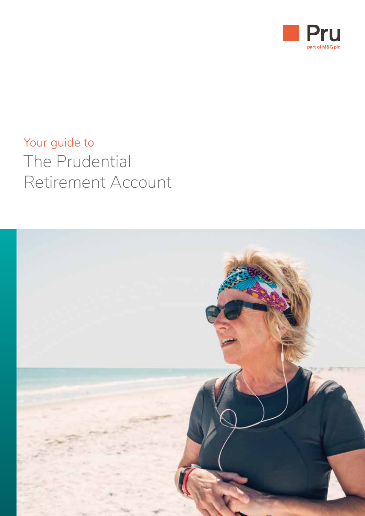

# Your guide to The Prudential Retirement Account

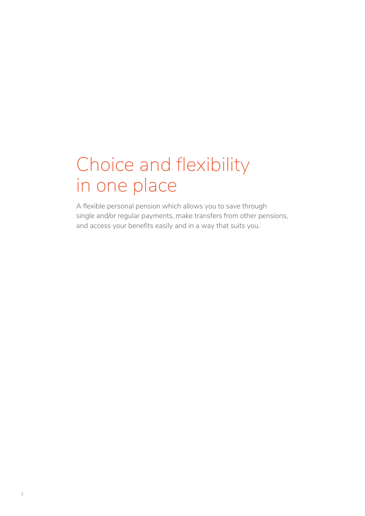# Choice and flexibility in one place

A flexible personal pension which allows you to save through single and/or regular payments, make transfers from other pensions, and access your benefits easily and in a way that suits you.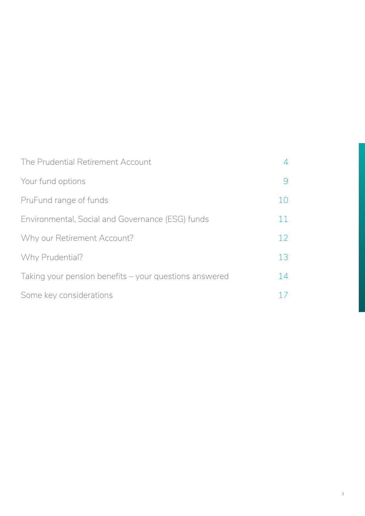| The Prudential Retirement Account                      |    |
|--------------------------------------------------------|----|
| Your fund options                                      |    |
| PruFund range of funds                                 | 10 |
| Environmental, Social and Governance (ESG) funds       | 11 |
| Why our Retirement Account?                            | 12 |
| Why Prudential?                                        | 13 |
| Taking your pension benefits – your questions answered | 14 |
| Some key considerations                                |    |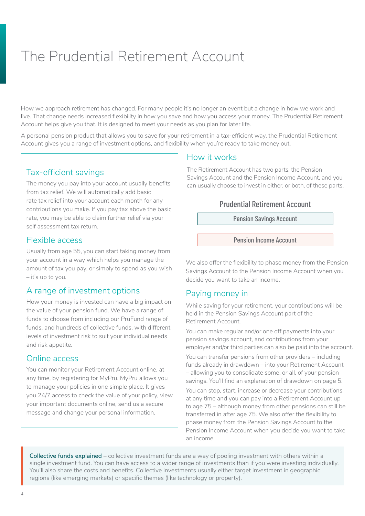# <span id="page-3-0"></span>The Prudential Retirement Account

How we approach retirement has changed. For many people it's no longer an event but a change in how we work and live. That change needs increased flexibility in how you save and how you access your money. The Prudential Retirement Account helps give you that. It is designed to meet your needs as you plan for later life.

A personal pension product that allows you to save for your retirement in a tax-efficient way, the Prudential Retirement Account gives you a range of investment options, and flexibility when you're ready to take money out.

#### Tax-efficient savings

The money you pay into your account usually benefits from tax relief. We will automatically add basic rate tax relief into your account each month for any contributions you make. If you pay tax above the basic rate, you may be able to claim further relief via your self assessment tax return.

#### Flexible access

Usually from age 55, you can start taking money from your account in a way which helps you manage the amount of tax you pay, or simply to spend as you wish – it's up to you.

#### A range of investment options

How your money is invested can have a big impact on the value of your pension fund. We have a range of funds to choose from including our PruFund range of funds, and hundreds of collective funds, with different levels of investment risk to suit your individual needs and risk appetite.

#### Online access

You can monitor your Retirement Account online, at any time, by registering for MyPru. MyPru allows you to manage your policies in one simple place. It gives you 24/7 access to check the value of your policy, view your important documents online, send us a secure message and change your personal information.

#### How it works

The Retirement Account has two parts, the Pension Savings Account and the Pension Income Account, and you can usually choose to invest in either, or both, of these parts.

#### Prudential Retirement Account

Pension Savings Account

Pension Income Account

We also offer the flexibility to phase money from the Pension Savings Account to the Pension Income Account when you decide you want to take an income.

### Paying money in

While saving for your retirement, your contributions will be held in the Pension Savings Account part of the Retirement Account.

You can make regular and/or one off payments into your pension savings account, and contributions from your employer and/or third parties can also be paid into the account.

You can transfer pensions from other providers – including funds already in drawdown – into your Retirement Account – allowing you to consolidate some, or all, of your pension savings. You'll find an explanation of drawdown on page 5.

You can stop, start, increase or decrease your contributions at any time and you can pay into a Retirement Account up to age 75 – although money from other pensions can still be transferred in after age 75. We also offer the flexibility to phase money from the Pension Savings Account to the Pension Income Account when you decide you want to take an income.

**Collective funds explained** – collective investment funds are a way of pooling investment with others within a single investment fund. You can have access to a wider range of investments than if you were investing individually. You'll also share the costs and benefits. Collective investments usually either target investment in geographic regions (like emerging markets) or specific themes (like technology or property).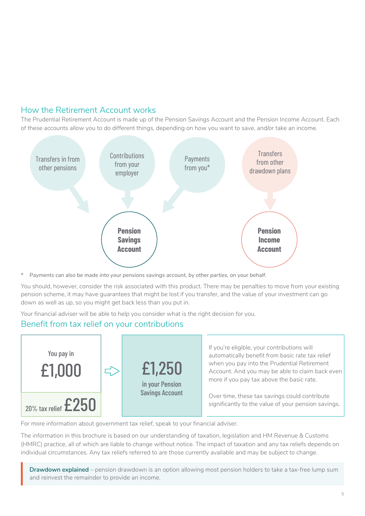#### How the Retirement Account works

The Prudential Retirement Account is made up of the Pension Savings Account and the Pension Income Account. Each of these accounts allow you to do different things, depending on how you want to save, and/or take an income.



*\* Payments can also be made into your pensions savings account, by other parties, on your behalf.* 

You should, however, consider the risk associated with this product. There may be penalties to move from your existing pension scheme, it may have guarantees that might be lost if you transfer, and the value of your investment can go down as well as up, so you might get back less than you put in.

Your financial adviser will be able to help you consider what is the right decision for you.

#### Benefit from tax relief on your contributions



For more information about government tax relief, speak to your financial adviser.

The information in this brochure is based on our understanding of taxation, legislation and HM Revenue & Customs (HMRC) practice, all of which are liable to change without notice. The impact of taxation and any tax reliefs depends on individual circumstances. Any tax reliefs referred to are those currently available and may be subject to change.

**Drawdown explained** – pension drawdown is an option allowing most pension holders to take a tax-free lump sum **Drawdown explained** – pension drawdown is and reinvest the remainder to provide an income.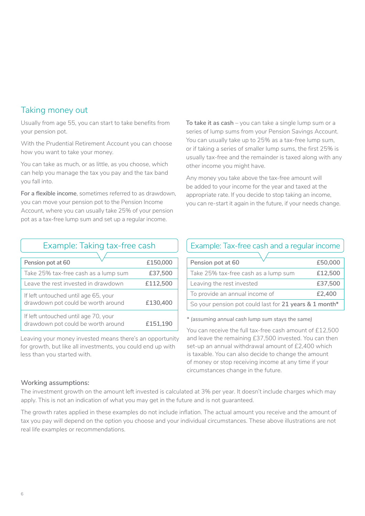### Taking money out

Usually from age 55, you can start to take benefits from your pension pot.

With the Prudential Retirement Account you can choose how you want to take your money.

You can take as much, or as little, as you choose, which can help you manage the tax you pay and the tax band you fall into.

**For a flexible income**, sometimes referred to as drawdown, you can move your pension pot to the Pension Income Account, where you can usually take 25% of your pension pot as a tax-free lump sum and set up a regular income.

| To take it as cash $-$ you can take a single lump sum or a   |
|--------------------------------------------------------------|
| series of lump sums from your Pension Savings Account.       |
| You can usually take up to 25% as a tax-free lump sum,       |
| or if taking a series of smaller lump sums, the first 25% is |
| usually tax-free and the remainder is taxed along with any   |
| other income you might have.                                 |

Any money you take above the tax-free amount will be added to your income for the year and taxed at the appropriate rate. If you decide to stop taking an income, you can re-start it again in the future, if your needs change.

| Example: Taking tax-free cash                                              |          | Example: Tax-free cash                                                        |
|----------------------------------------------------------------------------|----------|-------------------------------------------------------------------------------|
| Pension pot at 60                                                          | £150,000 | Pension pot at 60                                                             |
| Take 25% tax-free cash as a lump sum                                       | £37,500  | Take 25% tax-free cash as a                                                   |
| Leave the rest invested in drawdown                                        | £112,500 | Leaving the rest invested                                                     |
| If left untouched until age 65, your                                       |          | To provide an annual income                                                   |
| drawdown pot could be worth around                                         | £130,400 | So your pension pot could las                                                 |
| If left untouched until age 70, your<br>drawdown pot could be worth around | £151,190 | * (assuming annual cash lump sur<br>$\sim$ $\sim$ $\sim$ $\sim$ $\sim$ $\sim$ |

Leaving your money invested means there's an opportunity for growth, but like all investments, you could end up with less than you started with.

### Example: Tax-free cash and a regular income

| Pension pot at 60                                      | £50,000 |  |
|--------------------------------------------------------|---------|--|
| Take 25% tax-free cash as a lump sum                   | £12,500 |  |
| Leaving the rest invested                              | £37,500 |  |
| To provide an annual income of                         | £2,400  |  |
| So your pension pot could last for 21 years & 1 month* |         |  |

*\* (assuming annual cash lump sum stays the same)*

You can receive the full tax-free cash amount of £12,500 and leave the remaining £37,500 invested. You can then set-up an annual withdrawal amount of £2,400 which is taxable. You can also decide to change the amount of money or stop receiving income at any time if your circumstances change in the future.

#### **Working assumptions:**

The investment growth on the amount left invested is calculated at 3% per year. It doesn't include charges which may apply. This is not an indication of what you may get in the future and is not guaranteed.

The growth rates applied in these examples do not include inflation. The actual amount you receive and the amount of tax you pay will depend on the option you choose and your individual circumstances. These above illustrations are not real life examples or recommendations.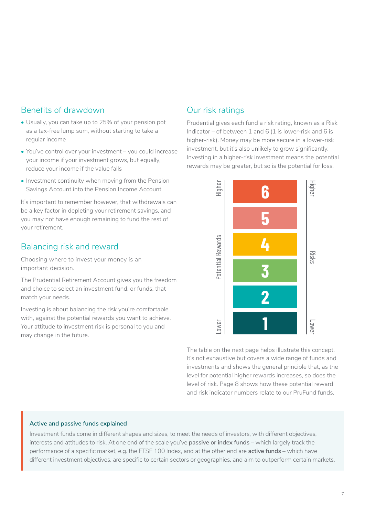#### Benefits of drawdown

- Usually, you can take up to 25% of your pension pot as a tax-free lump sum, without starting to take a regular income
- You've control over your investment you could increase your income if your investment grows, but equally, reduce your income if the value falls
- Investment continuity when moving from the Pension Savings Account into the Pension Income Account

It's important to remember however, that withdrawals can be a key factor in depleting your retirement savings, and you may not have enough remaining to fund the rest of your retirement.

### Balancing risk and reward

Choosing where to invest your money is an important decision.

The Prudential Retirement Account gives you the freedom and choice to select an investment fund, or funds, that match your needs.

Investing is about balancing the risk you're comfortable with, against the potential rewards you want to achieve. Your attitude to investment risk is personal to you and may change in the future.

# Our risk ratings

Prudential gives each fund a risk rating, known as a Risk Indicator – of between 1 and 6 (1 is lower-risk and 6 is higher-risk). Money may be more secure in a lower-risk investment, but it's also unlikely to grow significantly. Investing in a higher-risk investment means the potential rewards may be greater, but so is the potential for loss.



The table on the next page helps illustrate this concept. It's not exhaustive but covers a wide range of funds and investments and shows the general principle that, as the level for potential higher rewards increases, so does the level of risk. Page 8 shows how these potential reward and risk indicator numbers relate to our PruFund funds.

#### **Active and passive funds explained**

Investment funds come in different shapes and sizes, to meet the needs of investors, with different objectives, interests and attitudes to risk. At one end of the scale you've **passive or index funds** – which largely track the performance of a specific market, e.g. the FTSE 100 Index, and at the other end are **active funds** – which have different investment objectives, are specific to certain sectors or geographies, and aim to outperform certain markets.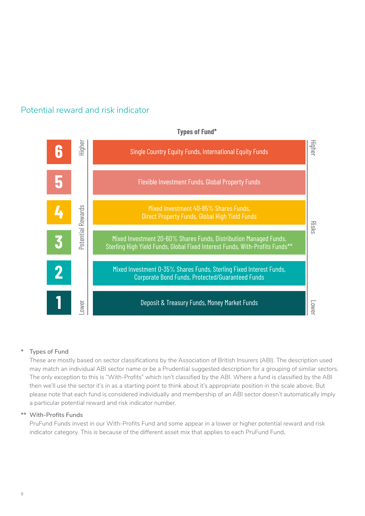

#### Potential reward and risk indicator

#### **Types of Fund\***

#### **\* Types of Fund**

These are mostly based on sector classifications by the Association of British Insurers (ABI). The description used may match an individual ABI sector name or be a Prudential suggested description for a grouping of similar sectors. The only exception to this is "With-Profits" which isn't classified by the ABI. Where a fund is classified by the ABI then we'll use the sector it's in as a starting point to think about it's appropriate position in the scale above. But please note that each fund is considered individually and membership of an ABI sector doesn't automatically imply a particular potential reward and risk indicator number.

#### **\*\* With-Profits Funds**

PruFund Funds invest in our With-Profits Fund and some appear in a lower or higher potential reward and risk indicator category. This is because of the different asset mix that applies to each PruFund Fund**.**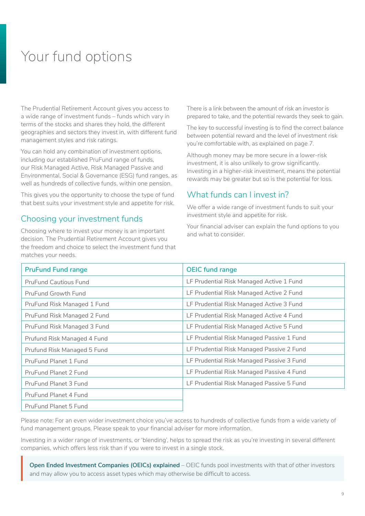# <span id="page-8-0"></span>Your fund options

The Prudential Retirement Account gives you access to a wide range of investment funds – funds which vary in terms of the stocks and shares they hold, the different geographies and sectors they invest in, with different fund management styles and risk ratings.

You can hold any combination of investment options, including our established PruFund range of funds, our Risk Managed Active, Risk Managed Passive and Environmental, Social & Governance (ESG) fund ranges, as well as hundreds of collective funds, within one pension.

This gives you the opportunity to choose the type of fund that best suits your investment style and appetite for risk.

#### Choosing your investment funds

Choosing where to invest your money is an important decision. The Prudential Retirement Account gives you the freedom and choice to select the investment fund that matches your needs.

There is a link between the amount of risk an investor is prepared to take, and the potential rewards they seek to gain.

The key to successful investing is to find the correct balance between potential reward and the level of investment risk you're comfortable with, as explained on page 7.

Although money may be more secure in a lower-risk investment, it is also unlikely to grow significantly. Investing in a higher-risk investment, means the potential rewards may be greater but so is the potential for loss.

#### What funds can Linvest in?

We offer a wide range of investment funds to suit your investment style and appetite for risk.

Your financial adviser can explain the fund options to you and what to consider.

| <b>PruFund Fund range</b>    | <b>OEIC fund range</b>                    |
|------------------------------|-------------------------------------------|
| <b>PruFund Cautious Fund</b> | LF Prudential Risk Managed Active 1 Fund  |
| PruFund Growth Fund          | LF Prudential Risk Managed Active 2 Fund  |
| PruFund Risk Managed 1 Fund  | LF Prudential Risk Managed Active 3 Fund  |
| PruFund Risk Managed 2 Fund  | LF Prudential Risk Managed Active 4 Fund  |
| PruFund Risk Managed 3 Fund  | LF Prudential Risk Managed Active 5 Fund  |
| Prufund Risk Managed 4 Fund  | LF Prudential Risk Managed Passive 1 Fund |
| Prufund Risk Managed 5 Fund  | LF Prudential Risk Managed Passive 2 Fund |
| PruFund Planet 1 Fund        | LF Prudential Risk Managed Passive 3 Fund |
| PruFund Planet 2 Fund        | LF Prudential Risk Managed Passive 4 Fund |
| PruFund Planet 3 Fund        | LF Prudential Risk Managed Passive 5 Fund |
| PruFund Planet 4 Fund        |                                           |
| PruFund Planet 5 Fund        |                                           |

Please note: For an even wider investment choice you've access to hundreds of collective funds from a wide variety of fund management groups. Please speak to your financial adviser for more information.

Investing in a wider range of investments, or 'blending', helps to spread the risk as you're investing in several different companies, which offers less risk than if you were to invest in a single stock.

**Open Ended Investment Companies (OEICs) explained** – OEIC funds pool investments with that of other investors and may allow you to access asset types which may otherwise be difficult to access. Ope and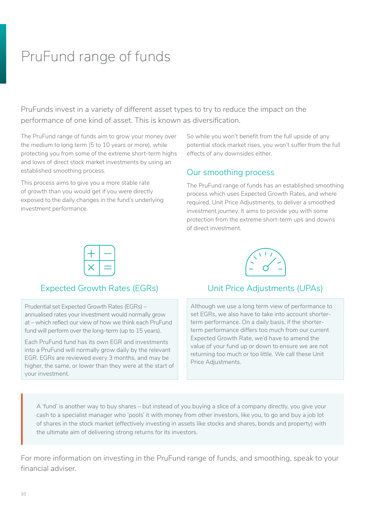# <span id="page-9-0"></span>PruFund range of funds

PruFunds invest in a variety of different asset types to try to reduce the impact on the performance of one kind of asset. This is known as diversification.

The PruFund range of funds aim to grow your money over the medium to long term (5 to 10 years or more), while protecting you from some of the extreme short-term highs and lows of direct stock market investments by using an established smoothing process.

This process aims to give you a more stable rate of growth than you would get if you were directly exposed to the daily changes in the fund's underlying investment performance.

So while you won't benefit from the full upside of any potential stock market rises, you won't suffer from the full effects of any downsides either.

#### Our smoothing process

The PruFund range of funds has an established smoothing process which uses Expected Growth Rates, and where required, Unit Price Adjustments, to deliver a smoothed investment journey. It aims to provide you with some protection from the extreme short-term ups and downs of direct investment.



# Expected Growth Rates (EGRs) Unit Price Adjustments (UPAs)

Prudential set Expected Growth Rates (EGRs) – annualised rates your investment would normally grow at – which reflect our view of how we think each PruFund fund will perform over the long-term (up to 15 years).

Each PruFund fund has its own EGR and investments into a PruFund will normally grow daily by the relevant EGR. EGRs are reviewed every 3 months, and may be higher, the same, or lower than they were at the start of your investment.

Although we use a long term view of performance to set EGRs, we also have to take into account shorterterm performance. On a daily basis, if the shorterterm performance differs too much from our current Expected Growth Rate, we'd have to amend the value of your fund up or down to ensure we are not returning too much or too little. We call these Unit Price Adjustments.

A 'fund' is another way to buy shares – but instead of you buying a slice of a company directly, you give your cash to a specialist manager who 'pools' it with money from other investors, like you, to go and buy a job lot of shares in the stock market (effectively investing in assets like stocks and shares, bonds and property) with the ultimate aim of delivering strong returns for its investors.

For more information on investing in the PruFund range of funds, and smoothing, speak to your financial adviser.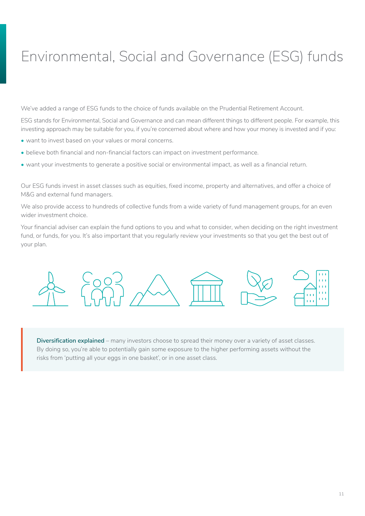# <span id="page-10-0"></span>Environmental, Social and Governance (ESG) funds

We've added a range of ESG funds to the choice of funds available on the Prudential Retirement Account.

ESG stands for Environmental, Social and Governance and can mean different things to different people. For example, this investing approach may be suitable for you, if you're concerned about where and how your money is invested and if you:

- want to invest based on your values or moral concerns.
- believe both financial and non-financial factors can impact on investment performance.
- want your investments to generate a positive social or environmental impact, as well as a financial return.

Our ESG funds invest in asset classes such as equities, fixed income, property and alternatives, and offer a choice of M&G and external fund managers.

We also provide access to hundreds of collective funds from a wide variety of fund management groups, for an even wider investment choice.

Your financial adviser can explain the fund options to you and what to consider, when deciding on the right investment fund, or funds, for you. It's also important that you regularly review your investments so that you get the best out of your plan.



**Diversification explained** – many investors choose to spread their money over a variety of asset classes. By doing so, you're able to potentially gain some exposure to the higher performing assets without the risks from 'putting all your eggs in one basket', or in one asset class.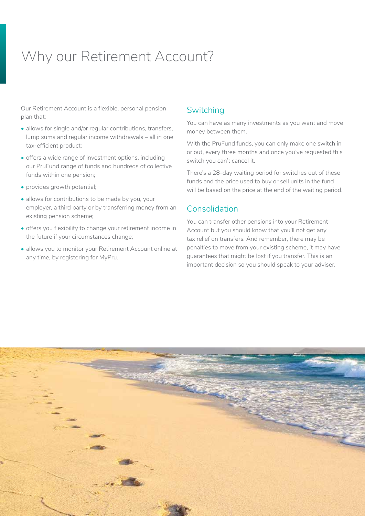# <span id="page-11-0"></span>Why our Retirement Account?

Our Retirement Account is a flexible, personal pension plan that:

- allows for single and/or regular contributions, transfers, lump sums and regular income withdrawals – all in one tax-efficient product;
- offers a wide range of investment options, including our PruFund range of funds and hundreds of collective funds within one pension;
- provides growth potential;
- allows for contributions to be made by you, your employer, a third party or by transferring money from an existing pension scheme;
- offers you flexibility to change your retirement income in the future if your circumstances change;
- allows you to monitor your Retirement Account online at any time, by registering for MyPru.

#### **Switching**

You can have as many investments as you want and move money between them.

With the PruFund funds, you can only make one switch in or out, every three months and once you've requested this switch you can't cancel it.

There's a 28-day waiting period for switches out of these funds and the price used to buy or sell units in the fund will be based on the price at the end of the waiting period.

### Consolidation

You can transfer other pensions into your Retirement Account but you should know that you'll not get any tax relief on transfers. And remember, there may be penalties to move from your existing scheme, it may have guarantees that might be lost if you transfer. This is an important decision so you should speak to your adviser.

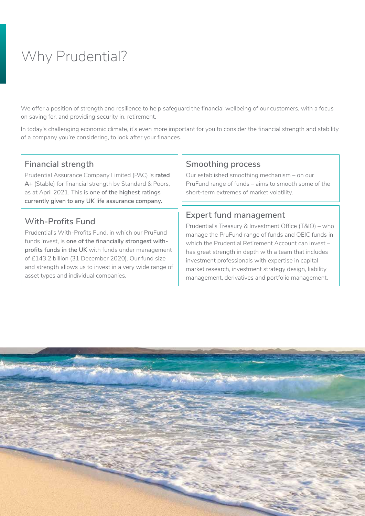# <span id="page-12-0"></span>Why Prudential?

We offer a position of strength and resilience to help safeguard the financial wellbeing of our customers, with a focus on saving for, and providing security in, retirement.

In today's challenging economic climate, it's even more important for you to consider the financial strength and stability of a company you're considering, to look after your finances.

### **Financial strength**

Prudential Assurance Company Limited (PAC) is **rated A+** (Stable) for financial strength by Standard & Poors, as at April 2021. This is **one of the highest ratings currently given to any UK life assurance company.**

# **With-Profits Fund**

Prudential's With-Profits Fund, in which our PruFund funds invest, is **one of the financially strongest withprofits funds in the UK** with funds under management of £143.2 billion (31 December 2020). Our fund size and strength allows us to invest in a very wide range of asset types and individual companies.

### **Smoothing process**

Our established smoothing mechanism – on our PruFund range of funds – aims to smooth some of the short-term extremes of market volatility.

### **Expert fund management**

Prudential's Treasury & Investment Office (T&IO) – who manage the PruFund range of funds and OEIC funds in which the Prudential Retirement Account can invest – has great strength in depth with a team that includes investment professionals with expertise in capital market research, investment strategy design, liability management, derivatives and portfolio management.

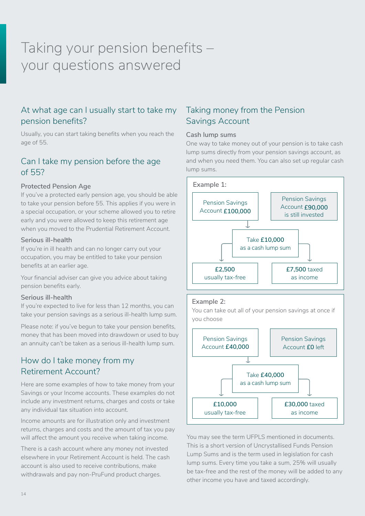# <span id="page-13-0"></span>Taking your pension benefits – your questions answered

# At what age can I usually start to take my pension benefits?

Usually, you can start taking benefits when you reach the age of 55.

### Can I take my pension before the age of 55?

#### **Protected Pension Age**

If you've a protected early pension age, you should be able to take your pension before 55. This applies if you were in a special occupation, or your scheme allowed you to retire early and you were allowed to keep this retirement age when you moved to the Prudential Retirement Account.

#### **Serious ill-health**

If you're in ill health and can no longer carry out your occupation, you may be entitled to take your pension benefits at an earlier age.

Your financial adviser can give you advice about taking pension benefits early.

#### **Serious ill-health**

If you're expected to live for less than 12 months, you can take your pension savings as a serious ill-health lump sum.

Please note: if you've begun to take your pension benefits, money that has been moved into drawdown or used to buy an annuity can't be taken as a serious ill-health lump sum.

# How do I take money from my Retirement Account?

Here are some examples of how to take money from your Savings or your Income accounts. These examples do not include any investment returns, charges and costs or take any individual tax situation into account.

Income amounts are for illustration only and investment returns, charges and costs and the amount of tax you pay will affect the amount you receive when taking income.

There is a cash account where any money not invested elsewhere in your Retirement Account is held. The cash account is also used to receive contributions, make withdrawals and pay non-PruFund product charges.

### Taking money from the Pension Savings Account

#### **Cash lump sums**

One way to take money out of your pension is to take cash lump sums directly from your pension savings account, as and when you need them. You can also set up regular cash lump sums.



#### **Example 2:**

You can take out all of your pension savings at once if you choose



You may see the term UFPLS mentioned in documents. This is a short version of Uncrystallised Funds Pension Lump Sums and is the term used in legislation for cash lump sums. Every time you take a sum, 25% will usually be tax-free and the rest of the money will be added to any other income you have and taxed accordingly.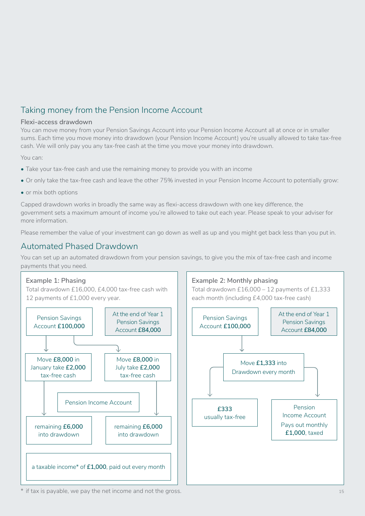# Taking money from the Pension Income Account

#### **Flexi-access drawdown**

You can move money from your Pension Savings Account into your Pension Income Account all at once or in smaller sums. Each time you move money into drawdown (your Pension Income Account) you're usually allowed to take tax-free cash. We will only pay you any tax-free cash at the time you move your money into drawdown.

You can:

- Take your tax-free cash and use the remaining money to provide you with an income
- Or only take the tax-free cash and leave the other 75% invested in your Pension Income Account to potentially grow:
- or mix both options

Capped drawdown works in broadly the same way as flexi-access drawdown with one key difference, the government sets a maximum amount of income you're allowed to take out each year. Please speak to your adviser for more information.

Please remember the value of your investment can go down as well as up and you might get back less than you put in.

### Automated Phased Drawdown

You can set up an automated drawdown from your pension savings, to give you the mix of tax-free cash and income payments that you need.



\* if tax is payable, we pay the net income and not the gross.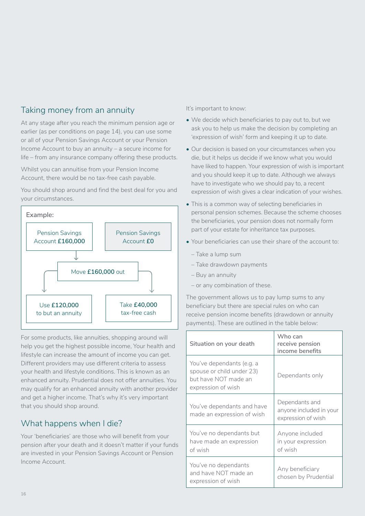# Taking money from an annuity

At any stage after you reach the minimum pension age or earlier (as per conditions on page 14), you can use some or all of your Pension Savings Account or your Pension Income Account to buy an annuity – a secure income for life – from any insurance company offering these products.

Whilst you can annuitise from your Pension Income Account, there would be no tax-free cash payable.

You should shop around and find the best deal for you and your circumstances.



For some products, like annuities, shopping around will help you get the highest possible income, Your health and lifestyle can increase the amount of income you can get. Different providers may use different criteria to assess your health and lifestyle conditions. This is known as an enhanced annuity. Prudential does not offer annuities. You may qualify for an enhanced annuity with another provider and get a higher income. That's why it's very important that you should shop around.

### What happens when I die?

Your 'beneficiaries' are those who will benefit from your pension after your death and it doesn't matter if your funds are invested in your Pension Savings Account or Pension Income Account.

It's important to know:

- We decide which beneficiaries to pay out to, but we ask you to help us make the decision by completing an 'expression of wish' form and keeping it up to date.
- Our decision is based on your circumstances when you die, but it helps us decide if we know what you would have liked to happen. Your expression of wish is important and you should keep it up to date. Although we always have to investigate who we should pay to, a recent expression of wish gives a clear indication of your wishes.
- This is a common way of selecting beneficiaries in personal pension schemes. Because the scheme chooses the beneficiaries, your pension does not normally form part of your estate for inheritance tax purposes.
- Your beneficiaries can use their share of the account to:
	- Take a lump sum
	- Take drawdown payments
	- Buy an annuity
	- or any combination of these.

The government allows us to pay lump sums to any beneficiary but there are special rules on who can receive pension income benefits (drawdown or annuity payments). These are outlined in the table below:

| Situation on your death                                                                              | Who can<br>receive pension<br>income benefits                   |
|------------------------------------------------------------------------------------------------------|-----------------------------------------------------------------|
| You've dependants (e.g. a<br>spouse or child under 23)<br>but have NOT made an<br>expression of wish | Dependants only                                                 |
| You've dependants and have<br>made an expression of wish                                             | Dependants and<br>anyone included in your<br>expression of wish |
| You've no dependants but<br>have made an expression<br>of wish                                       | Anyone included<br>in your expression<br>of wish                |
| You've no dependants<br>and have NOT made an<br>expression of wish                                   | Any beneficiary<br>chosen by Prudential                         |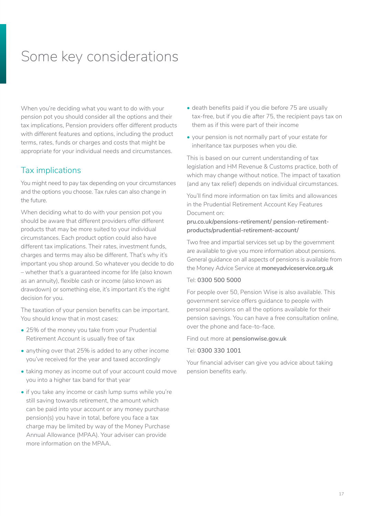# <span id="page-16-0"></span>Some key considerations

When you're deciding what you want to do with your pension pot you should consider all the options and their tax implications, Pension providers offer different products with different features and options, including the product terms, rates, funds or charges and costs that might be appropriate for your individual needs and circumstances.

#### Tax implications

You might need to pay tax depending on your circumstances and the options you choose. Tax rules can also change in the future.

When deciding what to do with your pension pot you should be aware that different providers offer different products that may be more suited to your individual circumstances. Each product option could also have different tax implications. Their rates, investment funds, charges and terms may also be different. That's why it's important you shop around. So whatever you decide to do – whether that's a guaranteed income for life (also known as an annuity), flexible cash or income (also known as drawdown) or something else, it's important it's the right decision for you.

The taxation of your pension benefits can be important. You should know that in most cases:

- 25% of the money you take from your Prudential Retirement Account is usually free of tax
- anything over that 25% is added to any other income you've received for the year and taxed accordingly
- taking money as income out of your account could move you into a higher tax band for that year
- if you take any income or cash lump sums while you're still saving towards retirement, the amount which can be paid into your account or any money purchase pension(s) you have in total, before you face a tax charge may be limited by way of the Money Purchase Annual Allowance (MPAA). Your adviser can provide more information on the MPAA.
- death benefits paid if you die before 75 are usually tax-free, but if you die after 75, the recipient pays tax on them as if this were part of their income
- your pension is not normally part of your estate for inheritance tax purposes when you die.

This is based on our current understanding of tax legislation and HM Revenue & Customs practice, both of which may change without notice. The impact of taxation (and any tax relief) depends on individual circumstances.

You'll find more information on tax limits and allowances in the Prudential Retirement Account Key Features Document on:

#### **[pru.co.uk/pensions-retirement/ pension-retirement](http://www.pru.co.uk/pensions-retirement/pension-retirement-products/prudential-retirement-account/)[products/prudential-retirement-account/](http://www.pru.co.uk/pensions-retirement/pension-retirement-products/prudential-retirement-account/)**

Two free and impartial services set up by the government are available to give you more information about pensions. General guidance on all aspects of pensions is available from the Money Advice Service at **[moneyadviceservice.org.uk](https://www.moneyadviceservice.org.uk)** 

#### Tel: **0300 500 5000**

For people over 50, Pension Wise is also available. This government service offers guidance to people with personal pensions on all the options available for their pension savings. You can have a free consultation online, over the phone and face-to-face.

Find out more at **[pensionwise.gov.uk](https://www.pensionwise.gov.uk)** 

#### Tel: **0300 330 1001**

Your financial adviser can give you advice about taking pension benefits early.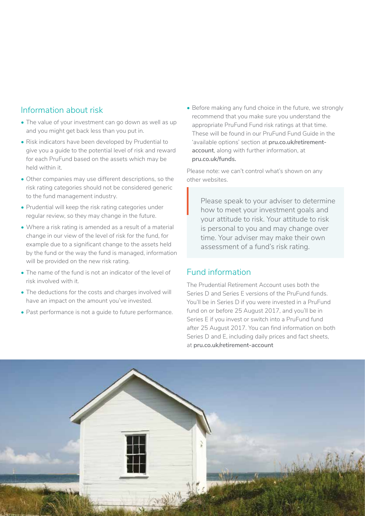#### Information about risk

- The value of your investment can go down as well as up and you might get back less than you put in.
- Risk indicators have been developed by Prudential to give you a guide to the potential level of risk and reward for each PruFund based on the assets which may be held within it.
- Other companies may use different descriptions, so the risk rating categories should not be considered generic to the fund management industry.
- Prudential will keep the risk rating categories under regular review, so they may change in the future.
- Where a risk rating is amended as a result of a material change in our view of the level of risk for the fund, for example due to a significant change to the assets held by the fund or the way the fund is managed, information will be provided on the new risk rating.
- The name of the fund is not an indicator of the level of risk involved with it.
- The deductions for the costs and charges involved will have an impact on the amount you've invested.
- Past performance is not a guide to future performance.

• Before making any fund choice in the future, we strongly recommend that you make sure you understand the appropriate PruFund Fund risk ratings at that time. These will be found in our PruFund Fund Guide in the 'available options' section at **[pru.co.uk/retirement](http://pru.co.uk/retirement-account)[account](http://pru.co.uk/retirement-account)**, along with further information, at **[pru.co.uk/funds.](https://www.pru.co.uk/funds)**

Please note: we can't control what's shown on any other websites.

Please speak to your adviser to determine how to meet your investment goals and your attitude to risk. Your attitude to risk is personal to you and may change over time. Your adviser may make their own assessment of a fund's risk rating.  $\left| \begin{array}{c} \mathsf{PI} \\ \mathsf{hc} \\ \mathsf{vc} \end{array} \right|$ 

### Fund information

The Prudential Retirement Account uses both the Series D and Series E versions of the PruFund funds. You'll be in Series D if you were invested in a PruFund fund on or before 25 August 2017, and you'll be in Series E if you invest or switch into a PruFund fund after 25 August 2017. You can find information on both Series D and E, including daily prices and fact sheets, at **[pru.co.uk/retirement-account](https://www.pru.co.uk/retirement-account)**